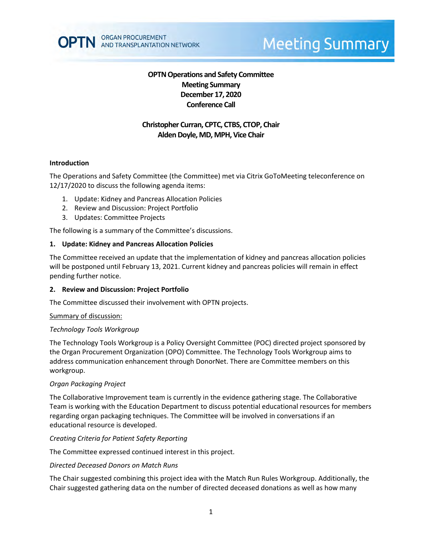

# **Meeting Summary**

# **OPTN Operations and Safety Committee Meeting Summary December 17, 2020 Conference Call**

# **Christopher Curran, CPTC, CTBS, CTOP, Chair Alden Doyle, MD, MPH, Vice Chair**

#### **Introduction**

The Operations and Safety Committee (the Committee) met via Citrix GoToMeeting teleconference on 12/17/2020 to discuss the following agenda items:

- 1. Update: Kidney and Pancreas Allocation Policies
- 2. Review and Discussion: Project Portfolio
- 3. Updates: Committee Projects

The following is a summary of the Committee's discussions.

## **1. Update: Kidney and Pancreas Allocation Policies**

The Committee received an update that the implementation of kidney and pancreas allocation policies will be postponed until February 13, 2021. Current kidney and pancreas policies will remain in effect pending further notice.

## **2. Review and Discussion: Project Portfolio**

The Committee discussed their involvement with OPTN projects.

## Summary of discussion:

## *Technology Tools Workgroup*

The Technology Tools Workgroup is a Policy Oversight Committee (POC) directed project sponsored by the Organ Procurement Organization (OPO) Committee. The Technology Tools Workgroup aims to address communication enhancement through DonorNet. There are Committee members on this workgroup.

## *Organ Packaging Project*

The Collaborative Improvement team is currently in the evidence gathering stage. The Collaborative Team is working with the Education Department to discuss potential educational resources for members regarding organ packaging techniques. The Committee will be involved in conversations if an educational resource is developed.

## *Creating Criteria for Patient Safety Reporting*

The Committee expressed continued interest in this project.

#### *Directed Deceased Donors on Match Runs*

The Chair suggested combining this project idea with the Match Run Rules Workgroup. Additionally, the Chair suggested gathering data on the number of directed deceased donations as well as how many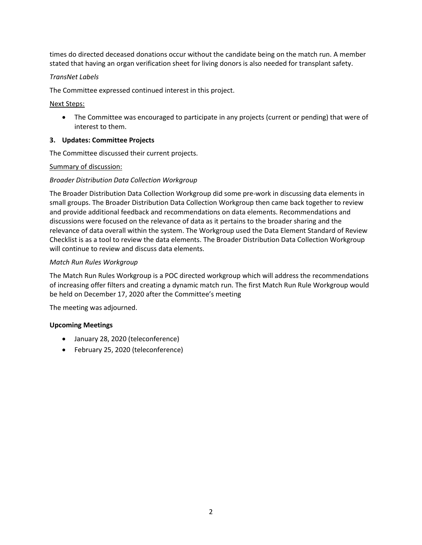times do directed deceased donations occur without the candidate being on the match run. A member stated that having an organ verification sheet for living donors is also needed for transplant safety.

## *TransNet Labels*

The Committee expressed continued interest in this project.

Next Steps:

• The Committee was encouraged to participate in any projects (current or pending) that were of interest to them.

## **3. Updates: Committee Projects**

The Committee discussed their current projects.

## Summary of discussion:

## *Broader Distribution Data Collection Workgroup*

The Broader Distribution Data Collection Workgroup did some pre-work in discussing data elements in small groups. The Broader Distribution Data Collection Workgroup then came back together to review and provide additional feedback and recommendations on data elements. Recommendations and discussions were focused on the relevance of data as it pertains to the broader sharing and the relevance of data overall within the system. The Workgroup used the Data Element Standard of Review Checklist is as a tool to review the data elements. The Broader Distribution Data Collection Workgroup will continue to review and discuss data elements.

## *Match Run Rules Workgroup*

The Match Run Rules Workgroup is a POC directed workgroup which will address the recommendations of increasing offer filters and creating a dynamic match run. The first Match Run Rule Workgroup would be held on December 17, 2020 after the Committee's meeting

The meeting was adjourned.

## **Upcoming Meetings**

- January 28, 2020 (teleconference)
- February 25, 2020 (teleconference)